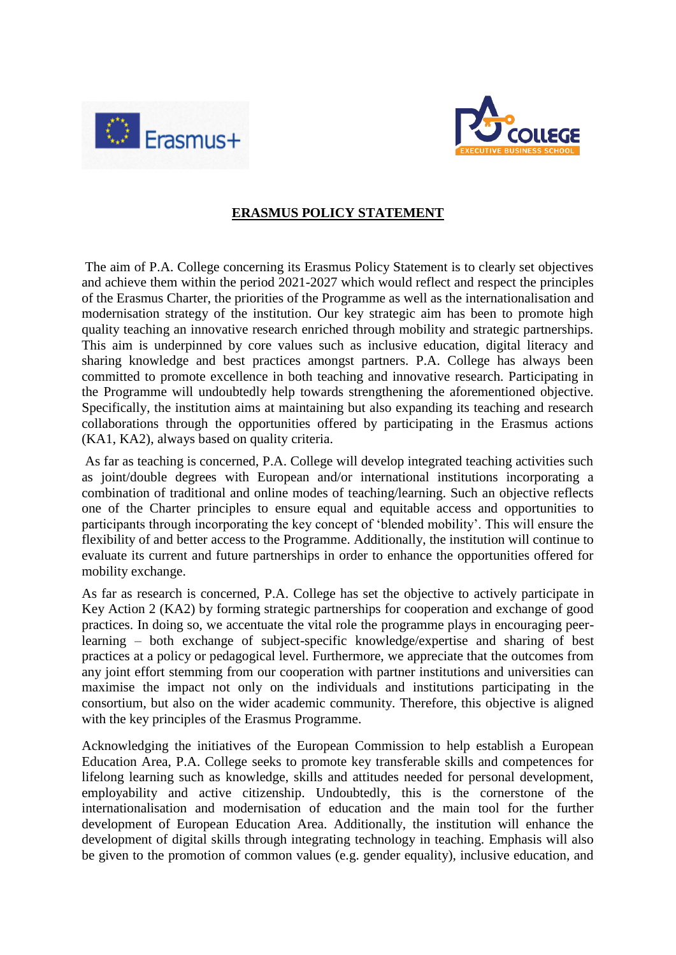



## **ERASMUS POLICY STATEMENT**

The aim of P.A. College concerning its Erasmus Policy Statement is to clearly set objectives and achieve them within the period 2021-2027 which would reflect and respect the principles of the Erasmus Charter, the priorities of the Programme as well as the internationalisation and modernisation strategy of the institution. Our key strategic aim has been to promote high quality teaching an innovative research enriched through mobility and strategic partnerships. This aim is underpinned by core values such as inclusive education, digital literacy and sharing knowledge and best practices amongst partners. P.A. College has always been committed to promote excellence in both teaching and innovative research. Participating in the Programme will undoubtedly help towards strengthening the aforementioned objective. Specifically, the institution aims at maintaining but also expanding its teaching and research collaborations through the opportunities offered by participating in the Erasmus actions (KA1, KA2), always based on quality criteria.

As far as teaching is concerned, P.A. College will develop integrated teaching activities such as joint/double degrees with European and/or international institutions incorporating a combination of traditional and online modes of teaching/learning. Such an objective reflects one of the Charter principles to ensure equal and equitable access and opportunities to participants through incorporating the key concept of 'blended mobility'. This will ensure the flexibility of and better access to the Programme. Additionally, the institution will continue to evaluate its current and future partnerships in order to enhance the opportunities offered for mobility exchange.

As far as research is concerned, P.A. College has set the objective to actively participate in Key Action 2 (KA2) by forming strategic partnerships for cooperation and exchange of good practices. In doing so, we accentuate the vital role the programme plays in encouraging peerlearning – both exchange of subject-specific knowledge/expertise and sharing of best practices at a policy or pedagogical level. Furthermore, we appreciate that the outcomes from any joint effort stemming from our cooperation with partner institutions and universities can maximise the impact not only on the individuals and institutions participating in the consortium, but also on the wider academic community. Therefore, this objective is aligned with the key principles of the Erasmus Programme.

Acknowledging the initiatives of the European Commission to help establish a European Education Area, P.A. College seeks to promote key transferable skills and competences for lifelong learning such as knowledge, skills and attitudes needed for personal development, employability and active citizenship. Undoubtedly, this is the cornerstone of the internationalisation and modernisation of education and the main tool for the further development of European Education Area. Additionally, the institution will enhance the development of digital skills through integrating technology in teaching. Emphasis will also be given to the promotion of common values (e.g. gender equality), inclusive education, and